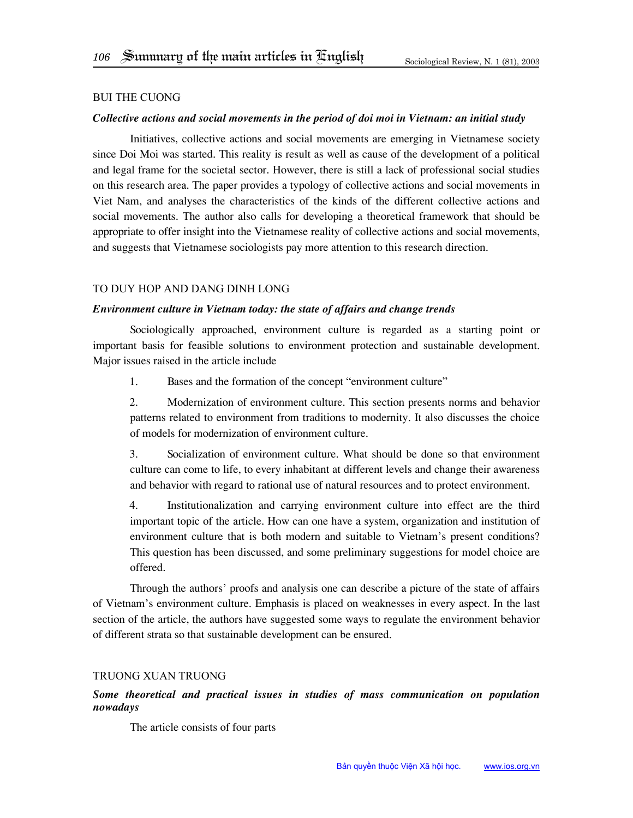### Bui The Cuong

### *Collective actions and social movements in the period of doi moi in Vietnam: an initial study*

Initiatives, collective actions and social movements are emerging in Vietnamese society since Doi Moi was started. This reality is result as well as cause of the development of a political and legal frame for the societal sector. However, there is still a lack of professional social studies on this research area. The paper provides a typology of collective actions and social movements in Viet Nam, and analyses the characteristics of the kinds of the different collective actions and social movements. The author also calls for developing a theoretical framework that should be appropriate to offer insight into the Vietnamese reality of collective actions and social movements, and suggests that Vietnamese sociologists pay more attention to this research direction.

### To Duy Hop and Dang Dinh Long

#### *Environment culture in Vietnam today: the state of affairs and change trends*

Sociologically approached, environment culture is regarded as a starting point or important basis for feasible solutions to environment protection and sustainable development. Major issues raised in the article include

1. Bases and the formation of the concept "environment culture"

2. Modernization of environment culture. This section presents norms and behavior patterns related to environment from traditions to modernity. It also discusses the choice of models for modernization of environment culture.

3. Socialization of environment culture. What should be done so that environment culture can come to life, to every inhabitant at different levels and change their awareness and behavior with regard to rational use of natural resources and to protect environment.

4. Institutionalization and carrying environment culture into effect are the third important topic of the article. How can one have a system, organization and institution of environment culture that is both modern and suitable to Vietnam's present conditions? This question has been discussed, and some preliminary suggestions for model choice are offered.

Through the authors' proofs and analysis one can describe a picture of the state of affairs of Vietnam's environment culture. Emphasis is placed on weaknesses in every aspect. In the last section of the article, the authors have suggested some ways to regulate the environment behavior of different strata so that sustainable development can be ensured.

## Truong Xuan Truong

# *Some theoretical and practical issues in studies of mass communication on population nowadays*

The article consists of four parts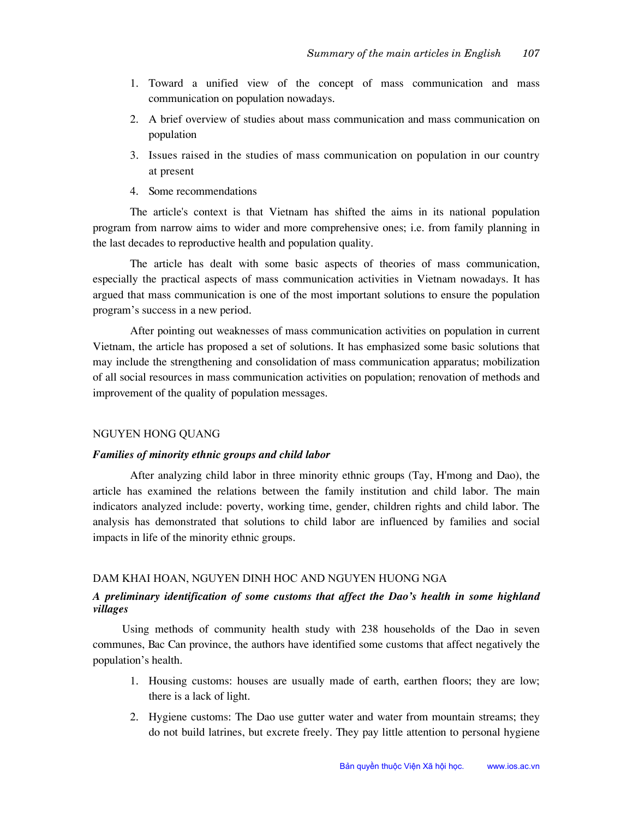- 1. Toward a unified view of the concept of mass communication and mass communication on population nowadays.
- 2. A brief overview of studies about mass communication and mass communication on population
- 3. Issues raised in the studies of mass communication on population in our country at present
- 4. Some recommendations

The article's context is that Vietnam has shifted the aims in its national population program from narrow aims to wider and more comprehensive ones; i.e. from family planning in the last decades to reproductive health and population quality.

The article has dealt with some basic aspects of theories of mass communication, especially the practical aspects of mass communication activities in Vietnam nowadays. It has argued that mass communication is one of the most important solutions to ensure the population program's success in a new period.

After pointing out weaknesses of mass communication activities on population in current Vietnam, the article has proposed a set of solutions. It has emphasized some basic solutions that may include the strengthening and consolidation of mass communication apparatus; mobilization of all social resources in mass communication activities on population; renovation of methods and improvement of the quality of population messages.

#### nguyen hong quang

#### *Families of minority ethnic groups and child labor*

After analyzing child labor in three minority ethnic groups (Tay, H'mong and Dao), the article has examined the relations between the family institution and child labor. The main indicators analyzed include: poverty, working time, gender, children rights and child labor. The analysis has demonstrated that solutions to child labor are influenced by families and social impacts in life of the minority ethnic groups.

## Dam Khai Hoan, Nguyen Dinh Hoc and Nguyen Huong Nga

# *A preliminary identification of some customs that affect the Dao's health in some highland villages*

Using methods of community health study with 238 households of the Dao in seven communes, Bac Can province, the authors have identified some customs that affect negatively the population's health.

- 1. Housing customs: houses are usually made of earth, earthen floors; they are low; there is a lack of light.
- 2. Hygiene customs: The Dao use gutter water and water from mountain streams; they do not build latrines, but excrete freely. They pay little attention to personal hygiene